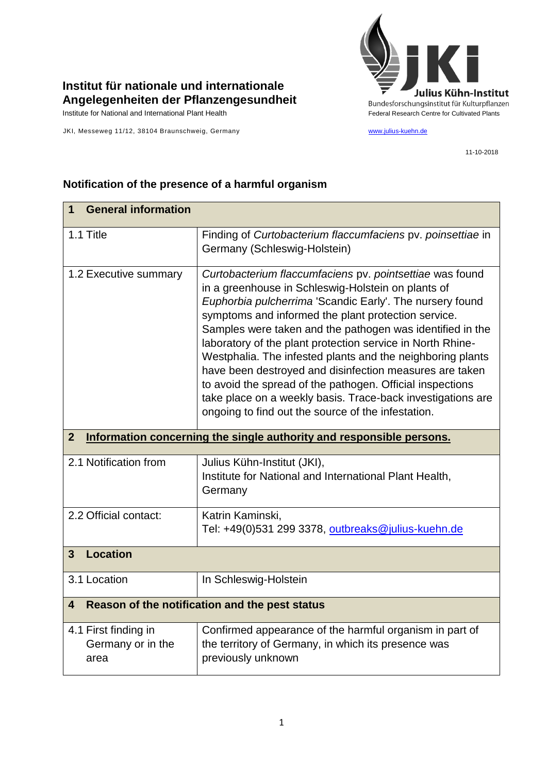

## **Institut für nationale und internationale Angelegenheiten der Pflanzengesundheit**

JKI, Messeweg 11/12, 38104 Braunschweig, Germany [www.julius-kuehn.de](http://www.julius-kuehn.de/)

11-10-2018

| <b>General information</b><br>1                                                        |                                                                                                                                                                                                                                                                                                                                                                                                                                                                                                                                                                                                                                                                         |  |
|----------------------------------------------------------------------------------------|-------------------------------------------------------------------------------------------------------------------------------------------------------------------------------------------------------------------------------------------------------------------------------------------------------------------------------------------------------------------------------------------------------------------------------------------------------------------------------------------------------------------------------------------------------------------------------------------------------------------------------------------------------------------------|--|
| 1.1 Title                                                                              | Finding of Curtobacterium flaccumfaciens pv. poinsettiae in<br>Germany (Schleswig-Holstein)                                                                                                                                                                                                                                                                                                                                                                                                                                                                                                                                                                             |  |
| 1.2 Executive summary                                                                  | Curtobacterium flaccumfaciens pv. pointsettiae was found<br>in a greenhouse in Schleswig-Holstein on plants of<br>Euphorbia pulcherrima 'Scandic Early'. The nursery found<br>symptoms and informed the plant protection service.<br>Samples were taken and the pathogen was identified in the<br>laboratory of the plant protection service in North Rhine-<br>Westphalia. The infested plants and the neighboring plants<br>have been destroyed and disinfection measures are taken<br>to avoid the spread of the pathogen. Official inspections<br>take place on a weekly basis. Trace-back investigations are<br>ongoing to find out the source of the infestation. |  |
| $\overline{2}$<br>Information concerning the single authority and responsible persons. |                                                                                                                                                                                                                                                                                                                                                                                                                                                                                                                                                                                                                                                                         |  |
| 2.1 Notification from                                                                  | Julius Kühn-Institut (JKI),<br>Institute for National and International Plant Health,<br>Germany                                                                                                                                                                                                                                                                                                                                                                                                                                                                                                                                                                        |  |
| 2.2 Official contact:                                                                  | Katrin Kaminski,<br>Tel: +49(0)531 299 3378, outbreaks@julius-kuehn.de                                                                                                                                                                                                                                                                                                                                                                                                                                                                                                                                                                                                  |  |
| <b>Location</b><br>$\overline{3}$                                                      |                                                                                                                                                                                                                                                                                                                                                                                                                                                                                                                                                                                                                                                                         |  |
| 3.1 Location                                                                           | In Schleswig-Holstein                                                                                                                                                                                                                                                                                                                                                                                                                                                                                                                                                                                                                                                   |  |
| Reason of the notification and the pest status<br>4                                    |                                                                                                                                                                                                                                                                                                                                                                                                                                                                                                                                                                                                                                                                         |  |
| 4.1 First finding in<br>Germany or in the<br>area                                      | Confirmed appearance of the harmful organism in part of<br>the territory of Germany, in which its presence was<br>previously unknown                                                                                                                                                                                                                                                                                                                                                                                                                                                                                                                                    |  |

## **Notification of the presence of a harmful organism**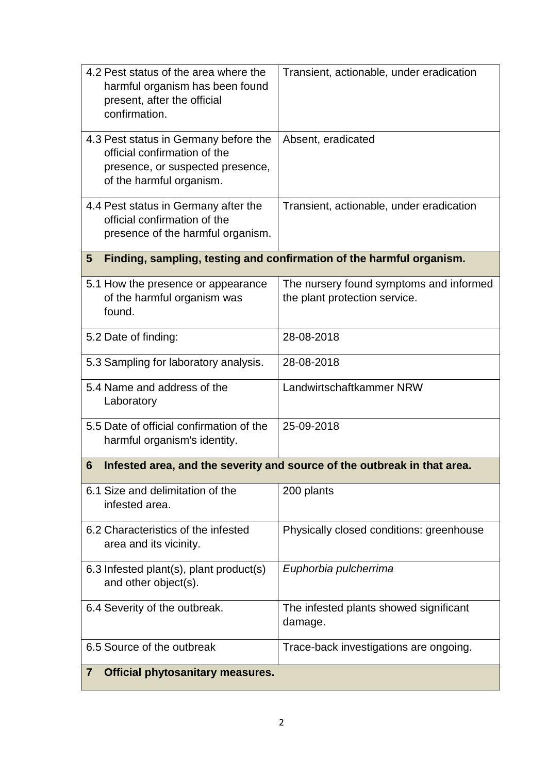| 4.2 Pest status of the area where the<br>harmful organism has been found<br>present, after the official<br>confirmation.              | Transient, actionable, under eradication                                 |  |
|---------------------------------------------------------------------------------------------------------------------------------------|--------------------------------------------------------------------------|--|
| 4.3 Pest status in Germany before the<br>official confirmation of the<br>presence, or suspected presence,<br>of the harmful organism. | Absent, eradicated                                                       |  |
| 4.4 Pest status in Germany after the<br>official confirmation of the<br>presence of the harmful organism.                             | Transient, actionable, under eradication                                 |  |
| Finding, sampling, testing and confirmation of the harmful organism.<br>5                                                             |                                                                          |  |
| 5.1 How the presence or appearance<br>of the harmful organism was<br>found.                                                           | The nursery found symptoms and informed<br>the plant protection service. |  |
| 5.2 Date of finding:                                                                                                                  | 28-08-2018                                                               |  |
| 5.3 Sampling for laboratory analysis.                                                                                                 | 28-08-2018                                                               |  |
| 5.4 Name and address of the<br>Laboratory                                                                                             | Landwirtschaftkammer NRW                                                 |  |
| 5.5 Date of official confirmation of the<br>harmful organism's identity.                                                              | 25-09-2018                                                               |  |
| Infested area, and the severity and source of the outbreak in that area.<br>6                                                         |                                                                          |  |
| 6.1 Size and delimitation of the<br>infested area.                                                                                    | 200 plants                                                               |  |
| 6.2 Characteristics of the infested<br>area and its vicinity.                                                                         | Physically closed conditions: greenhouse                                 |  |
| 6.3 Infested plant(s), plant product(s)<br>and other object(s).                                                                       | Euphorbia pulcherrima                                                    |  |
| 6.4 Severity of the outbreak.                                                                                                         | The infested plants showed significant<br>damage.                        |  |
| 6.5 Source of the outbreak                                                                                                            | Trace-back investigations are ongoing.                                   |  |
| <b>Official phytosanitary measures.</b><br>$\mathbf{7}$                                                                               |                                                                          |  |